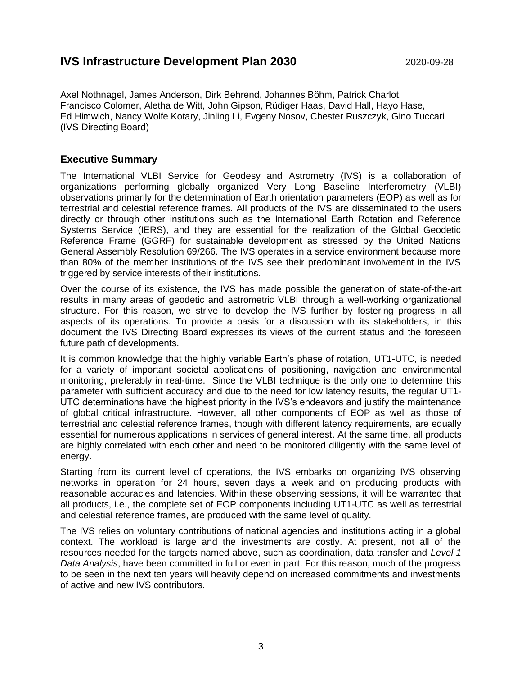# **IVS Infrastructure Development Plan 2030** 2020-09-28

Axel Nothnagel, James Anderson, Dirk Behrend, Johannes Böhm, Patrick Charlot, Francisco Colomer, Aletha de Witt, John Gipson, Rüdiger Haas, David Hall, Hayo Hase, Ed Himwich, Nancy Wolfe Kotary, Jinling Li, Evgeny Nosov, Chester Ruszczyk, Gino Tuccari (IVS Directing Board)

### **Executive Summary**

The International VLBI Service for Geodesy and Astrometry (IVS) is a collaboration of organizations performing globally organized Very Long Baseline Interferometry (VLBI) observations primarily for the determination of Earth orientation parameters (EOP) as well as for terrestrial and celestial reference frames. All products of the IVS are disseminated to the users directly or through other institutions such as the International Earth Rotation and Reference Systems Service (IERS), and they are essential for the realization of the Global Geodetic Reference Frame (GGRF) for sustainable development as stressed by the United Nations General Assembly Resolution 69/266. The IVS operates in a service environment because more than 80% of the member institutions of the IVS see their predominant involvement in the IVS triggered by service interests of their institutions.

Over the course of its existence, the IVS has made possible the generation of state-of-the-art results in many areas of geodetic and astrometric VLBI through a well-working organizational structure. For this reason, we strive to develop the IVS further by fostering progress in all aspects of its operations. To provide a basis for a discussion with its stakeholders, in this document the IVS Directing Board expresses its views of the current status and the foreseen future path of developments.

It is common knowledge that the highly variable Earth's phase of rotation, UT1-UTC, is needed for a variety of important societal applications of positioning, navigation and environmental monitoring, preferably in real-time. Since the VLBI technique is the only one to determine this parameter with sufficient accuracy and due to the need for low latency results, the regular UT1- UTC determinations have the highest priority in the IVS's endeavors and justify the maintenance of global critical infrastructure. However, all other components of EOP as well as those of terrestrial and celestial reference frames, though with different latency requirements, are equally essential for numerous applications in services of general interest. At the same time, all products are highly correlated with each other and need to be monitored diligently with the same level of energy.

Starting from its current level of operations, the IVS embarks on organizing IVS observing networks in operation for 24 hours, seven days a week and on producing products with reasonable accuracies and latencies. Within these observing sessions, it will be warranted that all products, i.e., the complete set of EOP components including UT1-UTC as well as terrestrial and celestial reference frames, are produced with the same level of quality.

The IVS relies on voluntary contributions of national agencies and institutions acting in a global context. The workload is large and the investments are costly. At present, not all of the resources needed for the targets named above, such as coordination, data transfer and *Level 1 Data Analysis*, have been committed in full or even in part. For this reason, much of the progress to be seen in the next ten years will heavily depend on increased commitments and investments of active and new IVS contributors.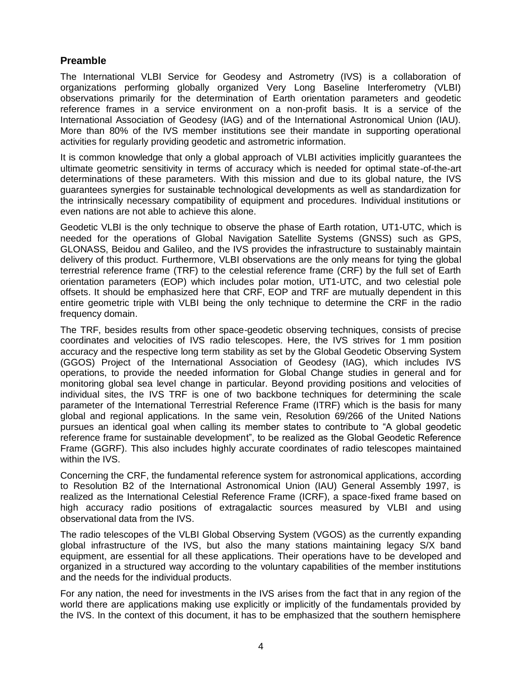## **Preamble**

The International VLBI Service for Geodesy and Astrometry (IVS) is a collaboration of organizations performing globally organized Very Long Baseline Interferometry (VLBI) observations primarily for the determination of Earth orientation parameters and geodetic reference frames in a service environment on a non-profit basis. It is a service of the International Association of Geodesy (IAG) and of the International Astronomical Union (IAU). More than 80% of the IVS member institutions see their mandate in supporting operational activities for regularly providing geodetic and astrometric information.

It is common knowledge that only a global approach of VLBI activities implicitly guarantees the ultimate geometric sensitivity in terms of accuracy which is needed for optimal state-of-the-art determinations of these parameters. With this mission and due to its global nature, the IVS guarantees synergies for sustainable technological developments as well as standardization for the intrinsically necessary compatibility of equipment and procedures. Individual institutions or even nations are not able to achieve this alone.

Geodetic VLBI is the only technique to observe the phase of Earth rotation, UT1-UTC, which is needed for the operations of Global Navigation Satellite Systems (GNSS) such as GPS, GLONASS, Beidou and Galileo, and the IVS provides the infrastructure to sustainably maintain delivery of this product. Furthermore, VLBI observations are the only means for tying the global terrestrial reference frame (TRF) to the celestial reference frame (CRF) by the full set of Earth orientation parameters (EOP) which includes polar motion, UT1-UTC, and two celestial pole offsets. It should be emphasized here that CRF, EOP and TRF are mutually dependent in this entire geometric triple with VLBI being the only technique to determine the CRF in the radio frequency domain.

The TRF, besides results from other space-geodetic observing techniques, consists of precise coordinates and velocities of IVS radio telescopes. Here, the IVS strives for 1 mm position accuracy and the respective long term stability as set by the Global Geodetic Observing System (GGOS) Project of the International Association of Geodesy (IAG), which includes IVS operations, to provide the needed information for Global Change studies in general and for monitoring global sea level change in particular. Beyond providing positions and velocities of individual sites, the IVS TRF is one of two backbone techniques for determining the scale parameter of the International Terrestrial Reference Frame (ITRF) which is the basis for many global and regional applications. In the same vein, Resolution 69/266 of the United Nations pursues an identical goal when calling its member states to contribute to "A global geodetic reference frame for sustainable development", to be realized as the Global Geodetic Reference Frame (GGRF). This also includes highly accurate coordinates of radio telescopes maintained within the IVS.

Concerning the CRF, the fundamental reference system for astronomical applications, according to Resolution B2 of the International Astronomical Union (IAU) General Assembly 1997, is realized as the International Celestial Reference Frame (ICRF), a space-fixed frame based on high accuracy radio positions of extragalactic sources measured by VLBI and using observational data from the IVS.

The radio telescopes of the VLBI Global Observing System (VGOS) as the currently expanding global infrastructure of the IVS, but also the many stations maintaining legacy S/X band equipment, are essential for all these applications. Their operations have to be developed and organized in a structured way according to the voluntary capabilities of the member institutions and the needs for the individual products.

For any nation, the need for investments in the IVS arises from the fact that in any region of the world there are applications making use explicitly or implicitly of the fundamentals provided by the IVS. In the context of this document, it has to be emphasized that the southern hemisphere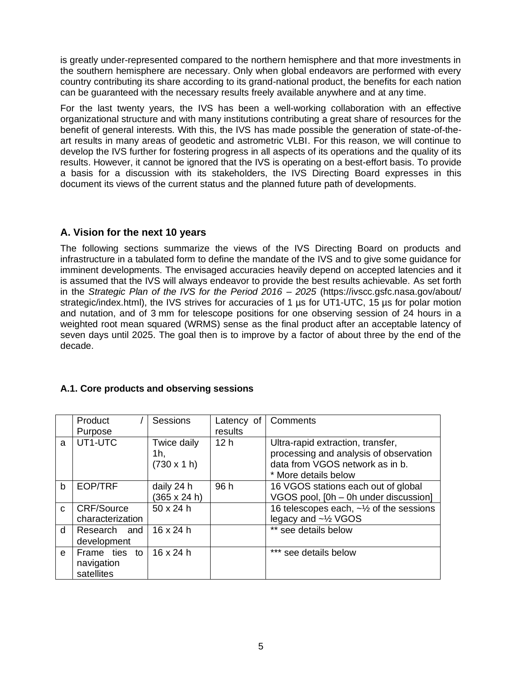is greatly under-represented compared to the northern hemisphere and that more investments in the southern hemisphere are necessary. Only when global endeavors are performed with every country contributing its share according to its grand-national product, the benefits for each nation can be guaranteed with the necessary results freely available anywhere and at any time.

For the last twenty years, the IVS has been a well-working collaboration with an effective organizational structure and with many institutions contributing a great share of resources for the benefit of general interests. With this, the IVS has made possible the generation of state-of-theart results in many areas of geodetic and astrometric VLBI. For this reason, we will continue to develop the IVS further for fostering progress in all aspects of its operations and the quality of its results. However, it cannot be ignored that the IVS is operating on a best-effort basis. To provide a basis for a discussion with its stakeholders, the IVS Directing Board expresses in this document its views of the current status and the planned future path of developments.

## **A. Vision for the next 10 years**

The following sections summarize the views of the IVS Directing Board on products and infrastructure in a tabulated form to define the mandate of the IVS and to give some guidance for imminent developments. The envisaged accuracies heavily depend on accepted latencies and it is assumed that the IVS will always endeavor to provide the best results achievable. As set forth in the *Strategic Plan of the IVS for the Period 2016 – 2025* (https://ivscc.gsfc.nasa.gov/about/ strategic/index.html), the IVS strives for accuracies of 1 us for UT1-UTC, 15 us for polar motion and nutation, and of 3 mm for telescope positions for one observing session of 24 hours in a weighted root mean squared (WRMS) sense as the final product after an acceptable latency of seven days until 2025. The goal then is to improve by a factor of about three by the end of the decade.

## **A.1. Core products and observing sessions**

|              | Product<br>Purpose                        | <b>Sessions</b>                        | Latency of<br>results | Comments                                                                                                                               |
|--------------|-------------------------------------------|----------------------------------------|-----------------------|----------------------------------------------------------------------------------------------------------------------------------------|
| a            | UT1-UTC                                   | Twice daily<br>1h.<br>$(730 \times 1)$ | 12 <sub>h</sub>       | Ultra-rapid extraction, transfer,<br>processing and analysis of observation<br>data from VGOS network as in b.<br>* More details below |
| $\mathbf b$  | <b>EOP/TRF</b>                            | daily 24 h<br>(365 x 24 h)             | 96 h                  | 16 VGOS stations each out of global<br>VGOS pool, [0h - 0h under discussion]                                                           |
| $\mathsf{C}$ | <b>CRF/Source</b><br>characterization     | 50 x 24 h                              |                       | 16 telescopes each, ~1/2 of the sessions<br>legacy and ~1/2 VGOS                                                                       |
| d            | Research and<br>development               | $16 \times 24$ h                       |                       | ** see details below                                                                                                                   |
| $\theta$     | Frame ties to<br>navigation<br>satellites | 16 x 24 h                              |                       | *** see details below                                                                                                                  |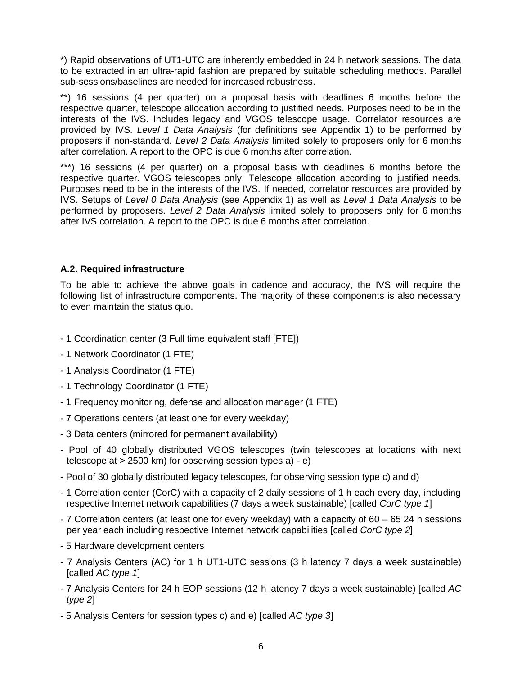\*) Rapid observations of UT1-UTC are inherently embedded in 24 h network sessions. The data to be extracted in an ultra-rapid fashion are prepared by suitable scheduling methods. Parallel sub-sessions/baselines are needed for increased robustness.

\*\*) 16 sessions (4 per quarter) on a proposal basis with deadlines 6 months before the respective quarter, telescope allocation according to justified needs. Purposes need to be in the interests of the IVS. Includes legacy and VGOS telescope usage. Correlator resources are provided by IVS. *Level 1 Data Analysis* (for definitions see Appendix 1) to be performed by proposers if non-standard. *Level 2 Data Analysis* limited solely to proposers only for 6 months after correlation. A report to the OPC is due 6 months after correlation.

\*\*\*) 16 sessions (4 per quarter) on a proposal basis with deadlines 6 months before the respective quarter. VGOS telescopes only. Telescope allocation according to justified needs. Purposes need to be in the interests of the IVS. If needed, correlator resources are provided by IVS. Setups of *Level 0 Data Analysis* (see Appendix 1) as well as *Level 1 Data Analysis* to be performed by proposers. *Level 2 Data Analysis* limited solely to proposers only for 6 months after IVS correlation. A report to the OPC is due 6 months after correlation.

## **A.2. Required infrastructure**

To be able to achieve the above goals in cadence and accuracy, the IVS will require the following list of infrastructure components. The majority of these components is also necessary to even maintain the status quo.

- 1 Coordination center (3 Full time equivalent staff [FTE])
- 1 Network Coordinator (1 FTE)
- 1 Analysis Coordinator (1 FTE)
- 1 Technology Coordinator (1 FTE)
- 1 Frequency monitoring, defense and allocation manager (1 FTE)
- 7 Operations centers (at least one for every weekday)
- 3 Data centers (mirrored for permanent availability)
- Pool of 40 globally distributed VGOS telescopes (twin telescopes at locations with next telescope at > 2500 km) for observing session types a) - e)
- Pool of 30 globally distributed legacy telescopes, for observing session type c) and d)
- 1 Correlation center (CorC) with a capacity of 2 daily sessions of 1 h each every day, including respective Internet network capabilities (7 days a week sustainable) [called *CorC type 1*]
- 7 Correlation centers (at least one for every weekday) with a capacity of 60 65 24 h sessions per year each including respective Internet network capabilities [called *CorC type 2*]
- 5 Hardware development centers
- 7 Analysis Centers (AC) for 1 h UT1-UTC sessions (3 h latency 7 days a week sustainable) [called *AC type 1*]
- 7 Analysis Centers for 24 h EOP sessions (12 h latency 7 days a week sustainable) [called *AC type 2*]
- 5 Analysis Centers for session types c) and e) [called *AC type 3*]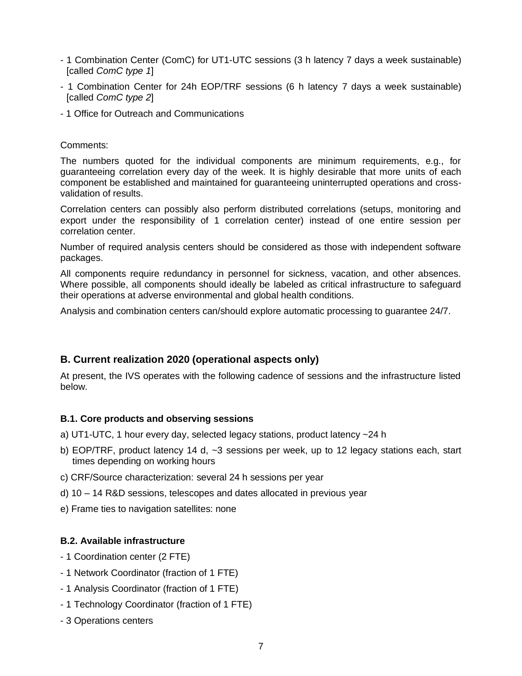- 1 Combination Center (ComC) for UT1-UTC sessions (3 h latency 7 days a week sustainable) [called *ComC type 1*]
- 1 Combination Center for 24h EOP/TRF sessions (6 h latency 7 days a week sustainable) [called *ComC type 2*]
- 1 Office for Outreach and Communications

#### Comments:

The numbers quoted for the individual components are minimum requirements, e.g., for guaranteeing correlation every day of the week. It is highly desirable that more units of each component be established and maintained for guaranteeing uninterrupted operations and crossvalidation of results.

Correlation centers can possibly also perform distributed correlations (setups, monitoring and export under the responsibility of 1 correlation center) instead of one entire session per correlation center.

Number of required analysis centers should be considered as those with independent software packages.

All components require redundancy in personnel for sickness, vacation, and other absences. Where possible, all components should ideally be labeled as critical infrastructure to safeguard their operations at adverse environmental and global health conditions.

Analysis and combination centers can/should explore automatic processing to guarantee 24/7.

## **B. Current realization 2020 (operational aspects only)**

At present, the IVS operates with the following cadence of sessions and the infrastructure listed below.

#### **B.1. Core products and observing sessions**

- a) UT1-UTC, 1 hour every day, selected legacy stations, product latency ~24 h
- b) EOP/TRF, product latency 14 d, ~3 sessions per week, up to 12 legacy stations each, start times depending on working hours
- c) CRF/Source characterization: several 24 h sessions per year
- d) 10 14 R&D sessions, telescopes and dates allocated in previous year
- e) Frame ties to navigation satellites: none

#### **B.2. Available infrastructure**

- 1 Coordination center (2 FTE)
- 1 Network Coordinator (fraction of 1 FTE)
- 1 Analysis Coordinator (fraction of 1 FTE)
- 1 Technology Coordinator (fraction of 1 FTE)
- 3 Operations centers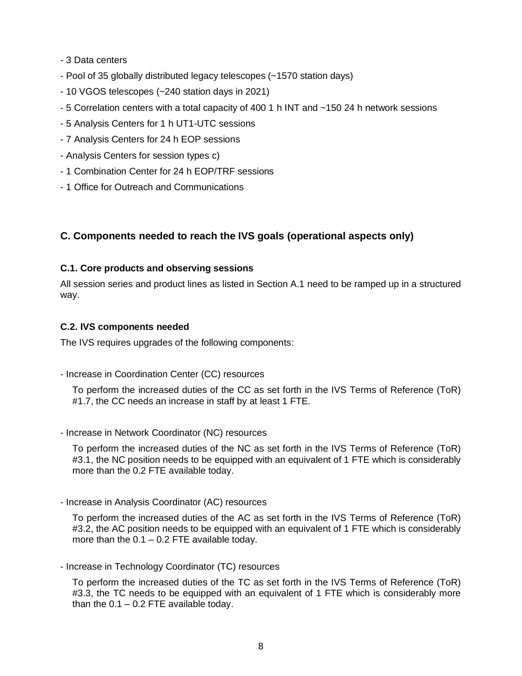- 3 Data centers
- Pool of 35 globally distributed legacy telescopes (~1570 station days)
- 10 VGOS telescopes (~240 station days in 2021)
- 5 Correlation centers with a total capacity of 400 1 h INT and ~150 24 h network sessions
- 5 Analysis Centers for 1 h UT1-UTC sessions
- 7 Analysis Centers for 24 h EOP sessions
- Analysis Centers for session types c)
- 1 Combination Center for 24 h EOP/TRF sessions
- 1 Office for Outreach and Communications

#### **C. Components needed to reach the IVS goals (operational aspects only)**

#### **C.1. Core products and observing sessions**

All session series and product lines as listed in Section A.1 need to be ramped up in a structured way.

#### **C.2. IVS components needed**

The IVS requires upgrades of the following components:

- Increase in Coordination Center (CC) resources

To perform the increased duties of the CC as set forth in the IVS Terms of Reference (ToR) #1.7, the CC needs an increase in staff by at least 1 FTE.

- Increase in Network Coordinator (NC) resources

To perform the increased duties of the NC as set forth in the IVS Terms of Reference (ToR) #3.1, the NC position needs to be equipped with an equivalent of 1 FTE which is considerably more than the 0.2 FTE available today.

- Increase in Analysis Coordinator (AC) resources

To perform the increased duties of the AC as set forth in the IVS Terms of Reference (ToR) #3.2, the AC position needs to be equipped with an equivalent of 1 FTE which is considerably more than the  $0.1 - 0.2$  FTE available today.

- Increase in Technology Coordinator (TC) resources

To perform the increased duties of the TC as set forth in the IVS Terms of Reference (ToR) #3.3, the TC needs to be equipped with an equivalent of 1 FTE which is considerably more than the  $0.1 - 0.2$  FTE available today.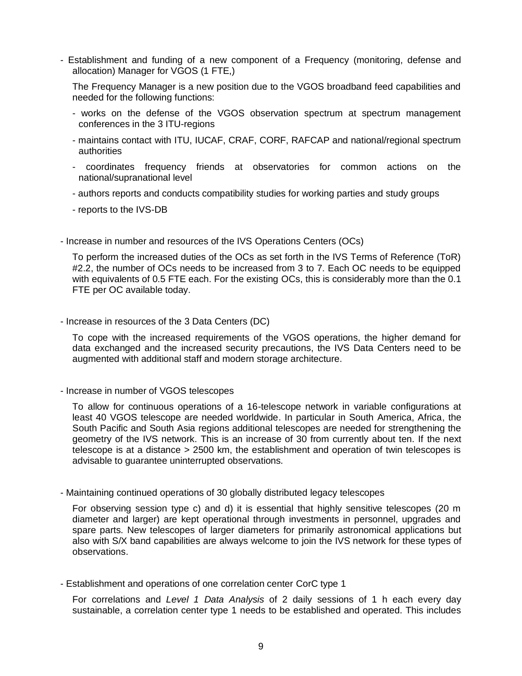- Establishment and funding of a new component of a Frequency (monitoring, defense and allocation) Manager for VGOS (1 FTE,)

The Frequency Manager is a new position due to the VGOS broadband feed capabilities and needed for the following functions:

- works on the defense of the VGOS observation spectrum at spectrum management conferences in the 3 ITU-regions
- maintains contact with ITU, IUCAF, CRAF, CORF, RAFCAP and national/regional spectrum authorities
- coordinates frequency friends at observatories for common actions on the national/supranational level
- authors reports and conducts compatibility studies for working parties and study groups
- reports to the IVS-DB
- Increase in number and resources of the IVS Operations Centers (OCs)

To perform the increased duties of the OCs as set forth in the IVS Terms of Reference (ToR) #2.2, the number of OCs needs to be increased from 3 to 7. Each OC needs to be equipped with equivalents of 0.5 FTE each. For the existing OCs, this is considerably more than the 0.1 FTE per OC available today.

- Increase in resources of the 3 Data Centers (DC)

To cope with the increased requirements of the VGOS operations, the higher demand for data exchanged and the increased security precautions, the IVS Data Centers need to be augmented with additional staff and modern storage architecture.

- Increase in number of VGOS telescopes

To allow for continuous operations of a 16-telescope network in variable configurations at least 40 VGOS telescope are needed worldwide. In particular in South America, Africa, the South Pacific and South Asia regions additional telescopes are needed for strengthening the geometry of the IVS network. This is an increase of 30 from currently about ten. If the next telescope is at a distance > 2500 km, the establishment and operation of twin telescopes is advisable to guarantee uninterrupted observations.

- Maintaining continued operations of 30 globally distributed legacy telescopes

For observing session type c) and d) it is essential that highly sensitive telescopes (20 m diameter and larger) are kept operational through investments in personnel, upgrades and spare parts. New telescopes of larger diameters for primarily astronomical applications but also with S/X band capabilities are always welcome to join the IVS network for these types of observations.

- Establishment and operations of one correlation center CorC type 1

For correlations and *Level 1 Data Analysis* of 2 daily sessions of 1 h each every day sustainable, a correlation center type 1 needs to be established and operated. This includes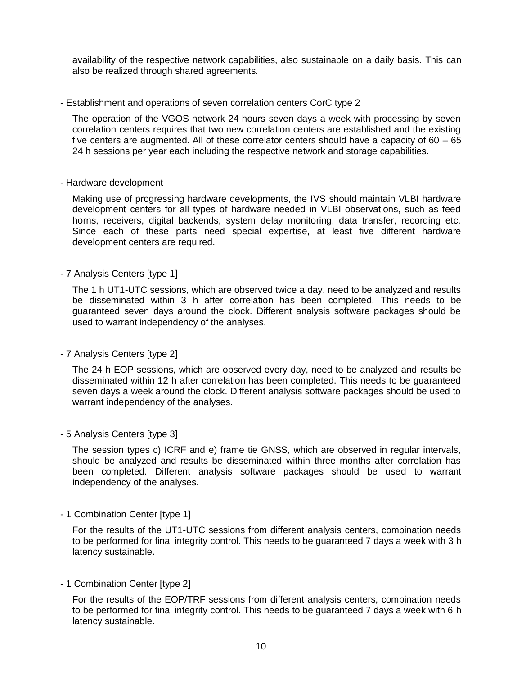availability of the respective network capabilities, also sustainable on a daily basis. This can also be realized through shared agreements.

- Establishment and operations of seven correlation centers CorC type 2

The operation of the VGOS network 24 hours seven days a week with processing by seven correlation centers requires that two new correlation centers are established and the existing five centers are augmented. All of these correlator centers should have a capacity of 60 – 65 24 h sessions per year each including the respective network and storage capabilities.

- Hardware development

Making use of progressing hardware developments, the IVS should maintain VLBI hardware development centers for all types of hardware needed in VLBI observations, such as feed horns, receivers, digital backends, system delay monitoring, data transfer, recording etc. Since each of these parts need special expertise, at least five different hardware development centers are required.

- 7 Analysis Centers [type 1]

The 1 h UT1-UTC sessions, which are observed twice a day, need to be analyzed and results be disseminated within 3 h after correlation has been completed. This needs to be guaranteed seven days around the clock. Different analysis software packages should be used to warrant independency of the analyses.

- 7 Analysis Centers [type 2]

The 24 h EOP sessions, which are observed every day, need to be analyzed and results be disseminated within 12 h after correlation has been completed. This needs to be guaranteed seven days a week around the clock. Different analysis software packages should be used to warrant independency of the analyses.

- 5 Analysis Centers [type 3]

The session types c) ICRF and e) frame tie GNSS, which are observed in regular intervals, should be analyzed and results be disseminated within three months after correlation has been completed. Different analysis software packages should be used to warrant independency of the analyses.

- 1 Combination Center [type 1]

For the results of the UT1-UTC sessions from different analysis centers, combination needs to be performed for final integrity control. This needs to be guaranteed 7 days a week with 3 h latency sustainable.

- 1 Combination Center [type 2]

For the results of the EOP/TRF sessions from different analysis centers, combination needs to be performed for final integrity control. This needs to be guaranteed 7 days a week with 6 h latency sustainable.